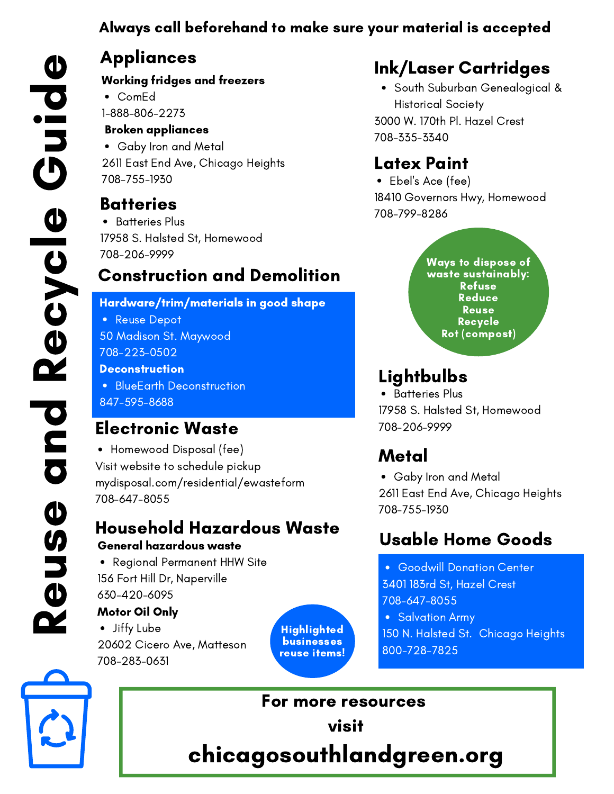### Always call beforehand to make sure your material is accepted

# Appliances

Working fridges and freezers

ComEd 1-888-806-2273

Broken appliances

Gaby Iron and Metal 2611 East End Ave, Chicago Heights 708-755-1930

### Batteries

 708-206-9999 17958 S. Halsted St, Homewood • Batteries Plus

### Construction and Demolition  $\sum$   $\frac{1}{2}$   $\frac{1}{2}$   $\frac{1}{2}$   $\frac{1}{2}$   $\frac{1}{2}$   $\frac{1}{2}$   $\frac{1}{2}$   $\frac{1}{2}$   $\frac{1}{2}$   $\frac{1}{2}$   $\frac{1}{2}$   $\frac{1}{2}$   $\frac{1}{2}$   $\frac{1}{2}$   $\frac{1}{2}$   $\frac{1}{2}$   $\frac{1}{2}$   $\frac{1}{2}$   $\frac{1}{2}$   $\frac{1}{2}$   $\frac{1}{2}$   $\frac{1}{$

Hardware/trim/materials in good shape

Reuse Depot

50 Madison St. Maywood 708-223-0502

#### **Deconstruction**

BlueEarth Deconstruction 847-595-8688

# Electronic Waste

 mydisposal.com/residential/ewasteform • Homewood Disposal (fee) Visit website to schedule pickup 708-647-8055

### General hazardous waste Household Hazardous Waste

• Regional Permanent HHW Site 156 Fort Hill Dr, Naperville 630-420-6095

### Motor Oil Only

Jiffy Lube 20602 Cicero Ave, Matteson 708-283-0631

Highlighted businesses reuse items!

# Ink/Laser Cartridges

• South Suburban Genealogical & Historical Society 3000 W. 170th Pl. Hazel Crest 708-335-3340

## Latex Paint

Ebel's Ace (fee) 18410 Governors Hwy, Homewood 708-799-8286

#### Reduce Reuse Recycle Rot (compost)

Ways to dispose of waste sustainably: Refuse

# **Lightbulbs**

• Batteries Plus 17958 S. Halsted St, Homewood 708-206-9999

# Metal

Gaby Iron and Metal 2611 East End Ave, Chicago Heights 708-755-1930

# Usable Home Goods

Goodwill Donation Center 3401 183rd St, Hazel Crest

708-647-8055

• Salvation Army

150 N. Halsted St. Chicago Heights 800-728-7825



R

 $\boldsymbol{\Phi}$ 

u

**S** 

 $\boldsymbol{\Phi}$ 

a

n

**d** 

R

 $\boldsymbol{\Phi}$ 

 $\boldsymbol{\mathsf{C}}$ 

 $\boldsymbol{\mathsf{C}}$ 

 $\boldsymbol{\Phi}$ 

 $\mathbf{\Theta}$ 

u

 $\bullet$  in the  $\bullet$ 

**d** 

 $\boldsymbol{\Phi}$ 

<u>la contra del contra</u>

For more resources visit chicagosouthlandgreen.org